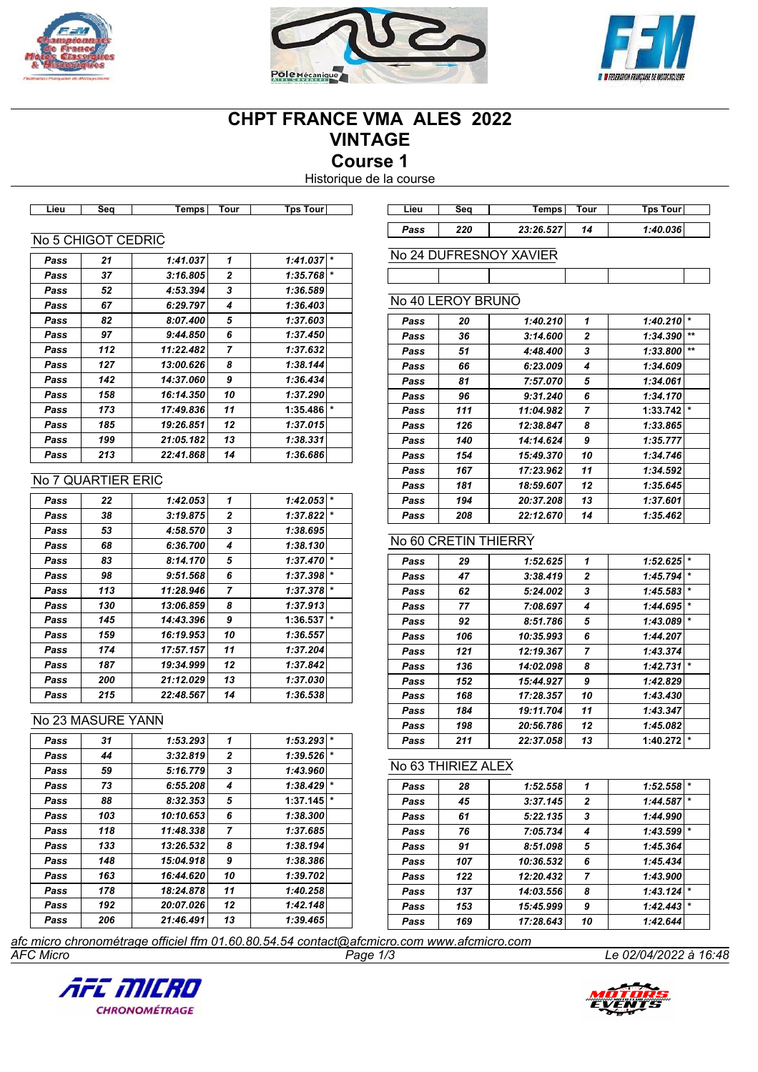





# **CHPT FRANCE VMA ALES 2022 VINTAGE Course 1**

Historique de la course

| Lieu | Seq                | Temps     | Tour           | <b>Tps Tour</b> | Lieu | Seq               | Temps <sup>®</sup>     | Tour           | Tps Tour       |
|------|--------------------|-----------|----------------|-----------------|------|-------------------|------------------------|----------------|----------------|
|      |                    |           |                |                 | Pass | 220               | 23:26.527              | 14             | 1:40.036       |
|      | No 5 CHIGOT CEDRIC |           |                |                 |      |                   |                        |                |                |
| Pass | 21                 | 1:41.037  |                | $1:41.037$ *    |      |                   | No 24 DUFRESNOY XAVIER |                |                |
| Pass | 37                 | 3:16.805  | 2              | $1:35.768$ *    |      |                   |                        |                |                |
| Pass | 52                 | 4:53.394  | 3              | 1:36.589        |      |                   |                        |                |                |
| Pass | 67                 | 6:29.797  | 4              | 1:36.403        |      | No 40 LEROY BRUNO |                        |                |                |
| Pass | 82                 | 8:07.400  | 5              | 1:37.603        | Pass | 20                | 1:40.210               | 1              | $1:40.210$ *   |
| Pass | 97                 | 9:44.850  | 6              | 1:37.450        | Pass | 36                | 3:14.600               | $\mathbf{2}$   | $1:34.390$ **  |
| Pass | 112                | 11:22.482 | $\overline{ }$ | 1:37.632        | Pass | 51                | 4:48.400               | 3              | 1:33.800 $**$  |
| Pass | 127                | 13:00.626 | 8              | 1:38.144        | Pass | 66                | 6:23.009               | 4              | 1:34.609       |
| Pass | 142                | 14:37.060 | 9              | 1:36.434        | Pass | 81                | 7:57.070               | 5              | 1:34.061       |
| Pass | 158                | 16:14.350 | 10             | 1:37.290        | Pass | 96                | 9:31.240               | 6              | 1:34.170       |
| Pass | 173                | 17:49.836 | 11             | $1:35.486$ *    | Pass | 111               | 11:04.982              | $\overline{ }$ | $1:33.742$ $*$ |
| Pass | 185                | 19:26.851 | 12             | 1:37.015        | Pass | 126               | 12:38.847              | 8              | 1:33.865       |

#### No 7 QUARTIER ERIC

| Pass | 22  | 1:42.053  | 1            | 1:42.053 | $\star$ |
|------|-----|-----------|--------------|----------|---------|
| Pass | 38  | 3:19.875  | $\mathbf{2}$ | 1:37.822 | $\star$ |
| Pass | 53  | 4:58.570  | 3            | 1:38.695 |         |
| Pass | 68  | 6:36.700  | 4            | 1:38.130 |         |
| Pass | 83  | 8:14.170  | 5            | 1:37.470 | $\star$ |
| Pass | 98  | 9:51.568  | 6            | 1:37.398 | $\star$ |
| Pass | 113 | 11:28.946 | 7            | 1:37.378 | $\star$ |
| Pass | 130 | 13:06.859 | 8            | 1:37.913 |         |
| Pass | 145 | 14:43.396 | 9            | 1:36.537 | $\star$ |
| Pass | 159 | 16:19.953 | 10           | 1:36.557 |         |
| Pass | 174 | 17:57.157 | 11           | 1:37.204 |         |
| Pass | 187 | 19:34.999 | 12           | 1:37.842 |         |
| Pass | 200 | 21:12.029 | 13           | 1:37.030 |         |
| Pass | 215 | 22:48.567 | 14           | 1:36.538 |         |

*Pass 199 21:05.182 13 1:38.331 Pass 213 22:41.868 14 1:36.686*

## No 23 MASURE YANN

| Pass | 31  | 1:53.293  | 1            | 1:53.293 | $\star$ |
|------|-----|-----------|--------------|----------|---------|
| Pass | 44  | 3:32.819  | $\mathbf{z}$ | 1:39.526 | $\star$ |
| Pass | 59  | 5:16.779  | 3            | 1:43.960 |         |
| Pass | 73  | 6:55.208  | 4            | 1:38.429 | $\star$ |
| Pass | 88  | 8:32.353  | 5            | 1:37.145 | $\star$ |
| Pass | 103 | 10:10.653 | 6            | 1:38.300 |         |
| Pass | 118 | 11:48.338 | 7            | 1:37.685 |         |
| Pass | 133 | 13:26.532 | 8            | 1:38.194 |         |
| Pass | 148 | 15:04.918 | 9            | 1:38.386 |         |
| Pass | 163 | 16:44.620 | 10           | 1:39.702 |         |
| Pass | 178 | 18:24.878 | 11           | 1:40.258 |         |
| Pass | 192 | 20:07.026 | 12           | 1:42.148 |         |
| Pass | 206 | 21:46.491 | 13           | 1:39.465 |         |
|      |     |           |              |          |         |

| Pass | 36  | 3:14.600  | $\overline{2}$ | 1:34.390 | $\star\star$ |
|------|-----|-----------|----------------|----------|--------------|
| Pass | 51  | 4:48.400  | 3              | 1:33.800 | $**$         |
| Pass | 66  | 6:23.009  | 4              | 1:34.609 |              |
| Pass | 81  | 7:57.070  | 5              | 1:34.061 |              |
| Pass | 96  | 9:31.240  | 6              | 1:34.170 |              |
| Pass | 111 | 11:04.982 | 7              | 1:33.742 | $\star$      |
| Pass | 126 | 12:38.847 | 8              | 1:33.865 |              |
| Pass | 140 | 14:14.624 | 9              | 1:35.777 |              |
| Pass | 154 | 15:49.370 | 10             | 1:34.746 |              |
| Pass | 167 | 17:23.962 | 11             | 1:34.592 |              |
| Pass | 181 | 18:59.607 | 12             | 1:35.645 |              |
| Pass | 194 | 20:37.208 | 13             | 1:37.601 |              |
| Pass | 208 | 22:12.670 | 14             | 1:35.462 |              |

## No 60 CRETIN THIERRY

| Pass | 29  | 1:52.625  | 1            | 1:52.625 |         |
|------|-----|-----------|--------------|----------|---------|
| Pass | 47  | 3:38.419  | $\mathbf{2}$ | 1:45.794 | $\star$ |
| Pass | 62  | 5:24.002  | 3            | 1:45.583 | $\star$ |
| Pass | 77  | 7:08.697  | 4            | 1:44.695 | $\star$ |
| Pass | 92  | 8:51.786  | 5            | 1:43.089 | $\star$ |
| Pass | 106 | 10:35.993 | 6            | 1:44.207 |         |
| Pass | 121 | 12:19.367 | 7            | 1:43.374 |         |
| Pass | 136 | 14:02.098 | 8            | 1:42.731 | $\star$ |
| Pass | 152 | 15:44.927 | 9            | 1:42.829 |         |
| Pass | 168 | 17:28.357 | 10           | 1:43.430 |         |
| Pass | 184 | 19:11.704 | 11           | 1:43.347 |         |
| Pass | 198 | 20:56.786 | 12           | 1:45.082 |         |
| Pass | 211 | 22:37.058 | 13           | 1:40.272 | $\ast$  |
|      |     |           |              |          |         |

### No 63 THIRIEZ ALEX

| Pass | 28  | 1:52.558  | 1              | 1:52.558 |         |
|------|-----|-----------|----------------|----------|---------|
| Pass | 45  | 3:37.145  | $\overline{2}$ | 1:44.587 | $\star$ |
| Pass | 61  | 5:22.135  | 3              | 1:44.990 |         |
| Pass | 76  | 7:05.734  | 4              | 1:43.599 | $\star$ |
| Pass | 91  | 8:51.098  | 5              | 1:45.364 |         |
| Pass | 107 | 10:36.532 | 6              | 1:45.434 |         |
| Pass | 122 | 12:20.432 | $\overline{ }$ | 1:43.900 |         |
| Pass | 137 | 14:03.556 | 8              | 1:43.124 | $\star$ |
| Pass | 153 | 15:45.999 | 9              | 1:42.443 | $\star$ |
| Pass | 169 | 17:28.643 | 10             | 1:42.644 |         |

*AFC Micro Page 1/3 Le 02/04/2022 à 16:48 afc micro chronométrage officiel ffm 01.60.80.54.54 contact@afcmicro.com www.afcmicro.com*



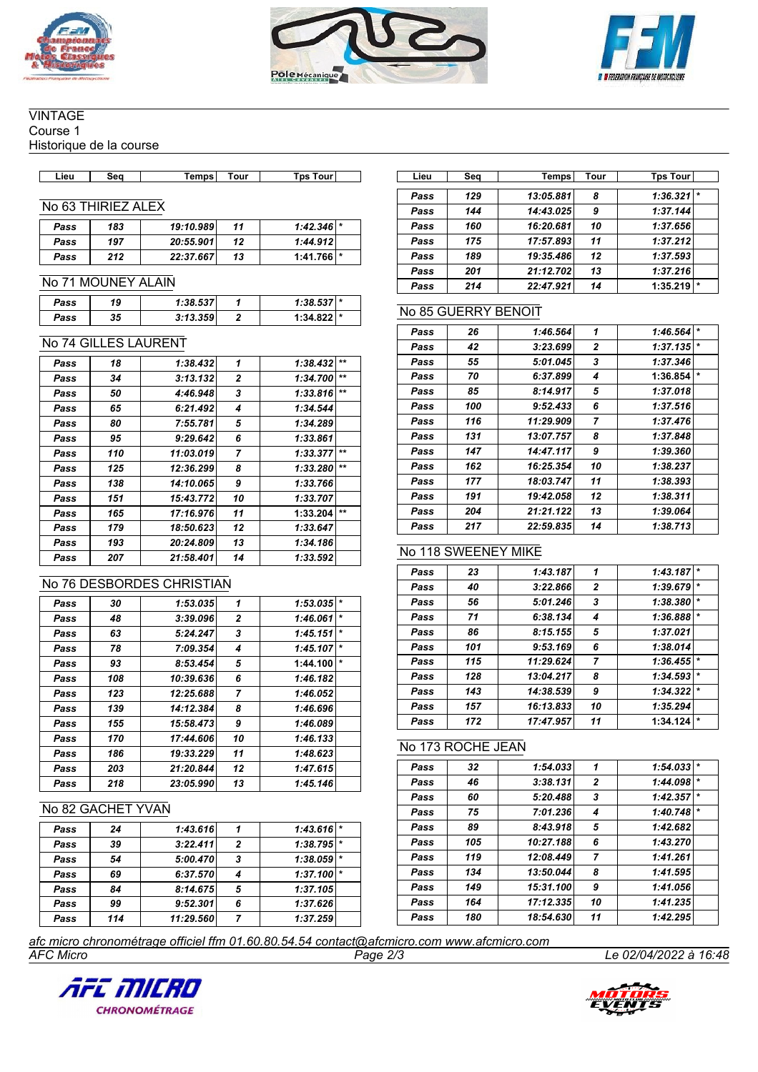





## **VINTAGE**

Course 1

Historique de la course

| ∟ieư | Seo | emps | . our | Tour<br>Tɒs | .iet | Seo | Temps | Tour | Tps<br><b>Tour</b> |
|------|-----|------|-------|-------------|------|-----|-------|------|--------------------|

## No 63 THIRIEZ ALEX

| Pass | 183 | 19:10.989 | 11 | $1:42.346$ * |  |
|------|-----|-----------|----|--------------|--|
| Pass | 197 | 20:55.901 | 12 | 1:44.912     |  |
| Pass | 212 | 22:37.667 | 13 | 1:41.766     |  |

#### No 71 MOUNEY ALAIN

| Pass | 19 | 1:38.5371 |  | <b>I</b> * |
|------|----|-----------|--|------------|
| Pass | 35 | 3:13.359  |  |            |

### No 74 GILLES LAURENT

| Pass | 18  | 1:38.432  | 1  | 1:38.432 | $+1$  |
|------|-----|-----------|----|----------|-------|
| Pass | 34  | 3:13.132  | 2  | 1:34.700 | $+ +$ |
| Pass | 50  | 4:46.948  | 3  | 1:33.816 | $***$ |
| Pass | 65  | 6:21.492  | 4  | 1:34.544 |       |
| Pass | 80  | 7:55.781  | 5  | 1:34.289 |       |
| Pass | 95  | 9:29.642  | 6  | 1:33.861 |       |
| Pass | 110 | 11:03.019 | 7  | 1:33.377 | $***$ |
| Pass | 125 | 12:36.299 | 8  | 1:33.280 | $***$ |
| Pass | 138 | 14:10.065 | 9  | 1:33.766 |       |
| Pass | 151 | 15:43.772 | 10 | 1:33.707 |       |
| Pass | 165 | 17:16.976 | 11 | 1:33.204 | $***$ |
| Pass | 179 | 18:50.623 | 12 | 1:33.647 |       |
| Pass | 193 | 20:24.809 | 13 | 1:34.186 |       |
| Pass | 207 | 21:58.401 | 14 | 1:33.592 |       |

### No 76 DESBORDES CHRISTIAN

| Pass | 30  | 1:53.035  | 1  | 1:53.035 | $\star$ |
|------|-----|-----------|----|----------|---------|
| Pass | 48  | 3:39.096  | 2  | 1:46.061 | $\star$ |
| Pass | 63  | 5:24.247  | 3  | 1:45.151 | $\star$ |
| Pass | 78  | 7:09.354  | 4  | 1:45.107 | $\star$ |
| Pass | 93  | 8:53.454  | 5  | 1:44.100 | $\star$ |
| Pass | 108 | 10:39.636 | 6  | 1:46.182 |         |
| Pass | 123 | 12:25.688 | 7  | 1:46.052 |         |
| Pass | 139 | 14:12.384 | 8  | 1:46.696 |         |
| Pass | 155 | 15:58.473 | 9  | 1:46.089 |         |
| Pass | 170 | 17:44.606 | 10 | 1:46.133 |         |
| Pass | 186 | 19:33.229 | 11 | 1:48.623 |         |
| Pass | 203 | 21:20.844 | 12 | 1:47.615 |         |
| Pass | 218 | 23:05.990 | 13 | 1:45.146 |         |

## No 82 GACHET YVAN

| Pass | 24  | 1:43.616  |   | $1:43.616$ * |         |
|------|-----|-----------|---|--------------|---------|
| Pass | 39  | 3:22.411  | 2 | 1:38.795     | $\star$ |
| Pass | 54  | 5:00.470  | 3 | $1:38.059$ * |         |
| Pass | 69  | 6:37.570  | 4 | $1:37.100$ * |         |
| Pass | 84  | 8:14.675  | 5 | 1:37.105     |         |
| Pass | 99  | 9:52.301  | 6 | 1:37.626     |         |
| Pass | 114 | 11:29.560 |   | 1:37.259     |         |

| Lieu | Seq | Temps     | Tour | <b>Tps Tour</b>     |
|------|-----|-----------|------|---------------------|
| Pass | 129 | 13:05.881 | 8    | 1:36.321            |
| Pass | 144 | 14:43.025 | 9    | 1:37.144            |
| Pass | 160 | 16:20.681 | 10   | 1:37.656            |
| Pass | 175 | 17:57.893 | 11   | 1:37.212            |
| Pass | 189 | 19:35.486 | 12   | 1:37.593            |
| Pass | 201 | 21:12.702 | 13   | 1:37.216            |
| Pass | 214 | 22:47.921 | 14   | $\star$<br>1:35.219 |

### No 85 GUERRY BENOIT

| Pass | 26  | 1:46.564  | 1              | 1:46.564 | $\star$ |
|------|-----|-----------|----------------|----------|---------|
| Pass | 42  | 3:23.699  | $\mathbf{2}$   | 1:37.135 | $\star$ |
| Pass | 55  | 5:01.045  | 3              | 1:37.346 |         |
| Pass | 70  | 6:37.899  | 4              | 1:36.854 | $\star$ |
| Pass | 85  | 8:14.917  | 5              | 1:37.018 |         |
| Pass | 100 | 9:52.433  | 6              | 1:37.516 |         |
| Pass | 116 | 11:29.909 | $\overline{7}$ | 1:37.476 |         |
| Pass | 131 | 13:07.757 | 8              | 1:37.848 |         |
| Pass | 147 | 14:47.117 | 9              | 1:39.360 |         |
| Pass | 162 | 16:25.354 | 10             | 1:38.237 |         |
| Pass | 177 | 18:03.747 | 11             | 1:38.393 |         |
| Pass | 191 | 19:42.058 | 12             | 1:38.311 |         |
| Pass | 204 | 21:21.122 | 13             | 1:39.064 |         |
| Pass | 217 | 22:59.835 | 14             | 1:38.713 |         |
|      |     |           |                |          |         |

### No 118 SWEENEY MIKE

| Pass | 23  | 1:43.187  | 1  | 1:43.187 | $\star$ |
|------|-----|-----------|----|----------|---------|
| Pass | 40  | 3:22.866  | 2  | 1:39.679 | $\star$ |
| Pass | 56  | 5:01.246  | 3  | 1:38.380 | $\star$ |
| Pass | 71  | 6:38.134  | 4  | 1:36.888 | $\ast$  |
| Pass | 86  | 8:15.155  | 5  | 1:37.021 |         |
| Pass | 101 | 9:53.169  | 6  | 1:38.014 |         |
| Pass | 115 | 11:29.624 | 7  | 1:36.455 | $\ast$  |
| Pass | 128 | 13:04.217 | 8  | 1:34.593 | $\star$ |
| Pass | 143 | 14:38.539 | 9  | 1:34.322 | $\star$ |
| Pass | 157 | 16:13.833 | 10 | 1:35.294 |         |
| Pass | 172 | 17:47.957 | 11 | 1:34.124 | $\star$ |

### No 173 ROCHE JEAN

| Pass | 32  | 1:54.033  | 1              | 1:54.033 | $\star$ |
|------|-----|-----------|----------------|----------|---------|
| Pass | 46  | 3:38.131  | 2              | 1:44.098 | $\star$ |
| Pass | 60  | 5:20.488  | 3              | 1:42.357 | $\star$ |
| Pass | 75  | 7:01.236  | 4              | 1:40.748 | $\star$ |
| Pass | 89  | 8:43.918  | 5              | 1:42.682 |         |
| Pass | 105 | 10:27.188 | 6              | 1:43.270 |         |
| Pass | 119 | 12:08.449 | $\overline{7}$ | 1:41.261 |         |
| Pass | 134 | 13:50.044 | 8              | 1:41.595 |         |
| Pass | 149 | 15:31.100 | 9              | 1:41.056 |         |
| Pass | 164 | 17:12.335 | 10             | 1:41.235 |         |
| Pass | 180 | 18:54.630 | 11             | 1:42.295 |         |

*AFC Micro Page 2/3 Le 02/04/2022 à 16:48 afc micro chronométrage officiel ffm 01.60.80.54.54 contact@afcmicro.com www.afcmicro.com*